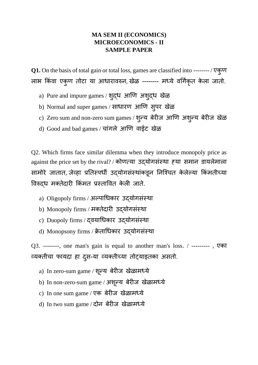## **MA SEM II (ECONOMICS) MICROECONOMICS - II SAMPLE PAPER**

**Q1.** On the basis of total gain or total loss, games are classified into -------- / एक ु ण लाभ किंवा एकुण तोटा या आधारावरुन, खेळ -------- मध्ये वर्गिकृत केला जातो.

- a) Pure and impure games / श ुद्ध आणण अश ुद्ध खळे
- b) Normal and super games / साधारण आणि सुपर खेळ
- c) Zero sum and non-zero sum games / शुन्य बेरीज आणि अशुन्य बेरीज खेळ
- d) Good and bad games / चांगले आणि वाईट खेळ

Q2. Which firms face similar dilemma when they introduce monopoly price as against the price set by the rival? / कोणत्या उद्योगसंस्था ह्या समान डायलेमाला सामोरे जातात, जेव्हा प्रतिस्पधी उद्योगसंस्थांकडून निश्चित केलेल्या किमतीच्या विरुद्ध मक्तेदारी किंमत प्रस्तावित केली जाते.

- a) Oligopoly firms / अल्पार्धकार उद्योगसिंस्था
- b) Monopoly firms / मक्तेदारी उद्योगसंस्था
- c) Duopoly firms / द्वयार्धकार उद्योगसिंस्था
- d) Monopsony firms / क्रे तार्धकार उद्योगसिंस्था

Q3. --------, one man's gain is equal to another man's loss. / --------- , एका व्यक्तीचा फायदा हा दुस-या व्यक्तीच्या तोट्याइतका असतो.

- a) In zero-sum game / शून्य बेरीज खेळामध्ये
- b) In non-zero-sum game / अश ू न्य बेरीज खळे ामध्ये
- c) In one sum game / एक बेरीज खेळामध्ये
- d) In two sum game / दोन बेरीज खेळामध्ये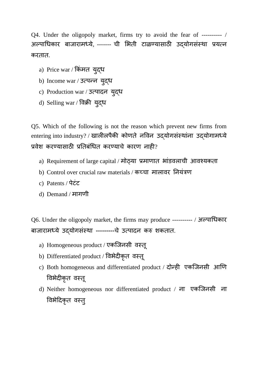Q4. Under the oligopoly market, firms try to avoid the fear of ---------- / अल्पाधिकार बाजारामध्ये, ------- ची भिती टाळण्यासाठी उदयोगसंस्था प्रयत्न करतात.

- a) Price war / ककिंमत य ुद्ध
- b) Income war / उत्पन्न युद्ध
- c) Production war / उत्पादन य ुद्ध
- d) Selling war / विक्री युद्ध

Q5. Which of the following is not the reason which prevent new firms from entering into industry? / खालीलपैकी कोणते नविन उद्योगसंस्थांना उद्योगामध्ये प्रवेश करण्यासाठी प्रततबिंर्धत करण्याचे कारण नाही?

- a) Requirement of large capital / मोठ्या प्रमाणात भािंडवलाची आवचयकता
- b) Control over crucial raw materials / कच्चा मालावर तनयिंत्रण
- c) Patents / पेटिंट
- d) Demand / मागणी

Q6. Under the oligopoly market, the firms may produce ---------- / अल्पार्धकार बाजारामध्ये उद्योगसंस्था ---------चे उत्पादन करु शकतात.

- a) Homogeneous product / एकश्जनसी वस्तू
- b) Differentiated product / ववभेदीक ृत वस्तू
- c) Both homogeneous and differentiated product / दोन्ही एकजिनसी आणि ववभेदीक ृत वस्तू
- d) Neither homogeneous nor differentiated product / ना एकश्जनसी ना विभैदिकृत वस्तु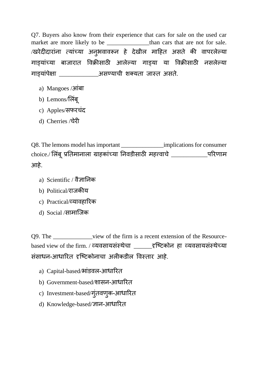Q7. Buyers also know from their experience that cars for sale on the used car market are more likely to be \_\_\_\_\_\_\_\_\_\_\_\_\_\_\_than cars that are not for sale. /खरेदीदारांना त्यांच्या अनुभवावरून हे देखील माहित असते की वापरलेल्या गाडयािंच्या बाजारात ववक्रीसाठी आलेल्या गाडया या ववक्रीसाठी नसलेल्या गाडयािंपेक्षा \_\_\_\_\_\_\_\_\_\_\_\_\_असण्याची शक्यता जास्त असते.

- a) Mangoes /आिंबा
- b) Lemons/लिबू
- c) Apples/सफरचिंद
- d) Cherries /चेरी

Q8. The lemons model has important \_\_\_\_\_\_\_\_\_\_\_\_\_\_implications for consumer choice./ लिंबू प्रतिमानाला ग्राहकांच्या निवडीसाठी महत्त्वाचे \_\_\_\_\_\_\_\_\_\_\_\_\_\_परिणाम आहे.

- a) Scientific / वैज्ञातनक
- b) Political/राजकीय
- c) Practical/व्यावहाररक
- d) Social /सामाश्जक

Q9. The \_\_\_\_\_\_\_\_\_\_\_\_view of the firm is a recent extension of the Resourcebased view of the firm. / व्यवसायसिंस्थेचा \_\_\_\_\_\_दृश्टटकोन हा व्यवसायसिंस्थेच्या सिंसाधन-आधाररत दृश्टटकोनाचा अलीकडील ववस्तार आहे.

- a) Capital-based/भांडवल-आधारित
- b) Government-based/शासन-आधाररत
- c) Investment-based/गुंतवणुक-आधारित
- d) Knowledge-based/ज्ञान-आधाररत